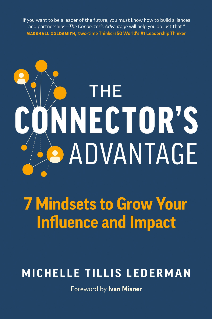"If you want to be a leader of the future, you must know how to build alliances and partnerships-The Connector's Advantage will help you do just that." MARSHALL GOLDSMITH, two-time Thinkers50 World's #1 Leadership Thinker

# THE NNECTOR'S **ADVANTAGE**

# **7 Mindsets to Grow Your Influence and Impact**

## MICHELLE TILLIS LEDERMAN

Foreword by Ivan Misner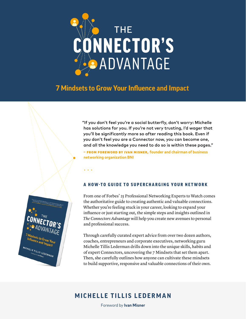

## **7 Mindsets to Grow Your Influence and Impact**

. . .

<sup>ets</sup> to Grow You<br><sup>1ce and Imp.</sup> ifluence and Impact.<br>Ifluence and Impact

**MICHELLE TILLIS LEDERMAN** 

"If you don't feel you're a social butterfly, don't worry: Michelle has solutions for you. If you're not very trusting, I'd wager that you'll be significantly more so after reading this book. Even if you don't feel you are a Connector now, you can become one, and all the knowledge you need to do so is within these pages."

**–** from Foreword by Ivan Misner, **founder and chairman of business networking organization BNI**



From one of Forbes' 25 Professional Networking Experts to Watch comes the authoritative guide to creating authentic and valuable connections. Whether you're feeling stuck in your career, looking to expand your influence or just starting out, the simple steps and insights outlined in *The Connectors Advantage* will help you create new avenues to personal and professional success.

Through carefully curated expert advice from over two dozen authors, coaches, entrepreneurs and corporate executives, networking guru Michelle Tillis Lederman drills down into the unique skills, habits and of expert Connectors, uncovering the 7 Mindsets that set them apart. Then, she carefully outlines how anyone can cultivate these mindsets to build supportive, responsive and valuable connections of their own.

### **MICHELLE TILLIS LEDERMAN**

Foreword by **Ivan Misner**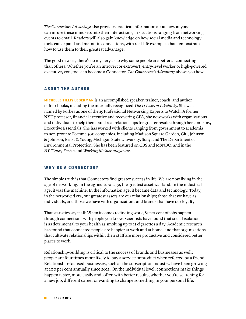*The Connectors Advantage* also provides practical information about how anyone can infuse these mindsets into their interactions, in situations ranging from networking events to email. Readers will also gain knowledge on how social media and technology tools can expand and maintain connections, with real-life examples that demonstrate how to use them to their greatest advantage.

The good news is, there's no mystery as to why some people are better at connecting than others. Whether you're an introvert or extrovert, entry-level worker or high-powered executive, you, too, can become a Connector. *The Connector's Advantage* shows you how.

#### ABOUT THE AUTHOR

**Michelle Tillis Lederman** is an accomplished speaker, trainer, coach, and author of four books, including the internally recognized *The 11 Laws of Likability.* She was named by Forbes as one of the 25 Professional Networking Experts to Watch. A former NYU professor, financial executive and recovering CPA, she now works with organizations and individuals to help them build real relationships for greater results through her company, Executive Essentials. She has worked with clients ranging from government to academia to non-profit to Fortune 500 companies, including Madison Square Garden, Citi, Johnson & Johnson, Ernst & Young, Michigan State University, Sony, and The Department of Environmental Protection. She has been featured on CBS and MSNBC, and in the *NY Times, Forbes* and *Working Mother magazine.*

#### WHY BE A CONNECTOR?

The simple truth is that Connectors find greater success in life. We are now living in the age of networking: In the agricultural age, the greatest asset was land. In the industrial age, it was the machine. In the information age, it became data and technology. Today, in the networked era, our greatest assets are our relationships; those that we have as individuals, and those we have with organizations and brands that have our loyalty.

That statistics say it all: When it comes to finding work, 85 per cent of jobs happen through connections with people you know. Scientists have found that social isolation is as detrimental to your health as smoking up to 15 cigarettes a day. Academic research has found that connected people are happier at work and at home, and that organizations that cultivate relationships within their staff are more productive and considered better places to work.

Relationship-building is critical to the success of brands and businesses as well; people are four times more likely to buy a service or product when referred by a friend. Relationship-focused businesses, such as the subscription industry, have been growing at 200 per cent annually since 2011. On the individual level, connections make things happen faster, more easily and, often with better results, whether you're searching for a new job, different career or wanting to change something in your personal life.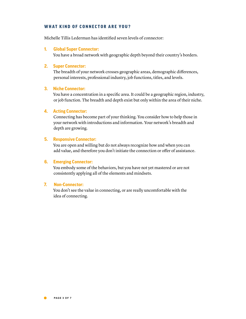#### WHAT KIND OF CONNECTOR ARE YOU?

Michelle Tillis Lederman has identified seven levels of connector:

#### **1. Global Super Connector:**

You have a broad network with geographic depth beyond their country's borders.

#### **2. Super Connector:**

The breadth of your network crosses geographic areas, demographic differences, personal interests, professional industry, job functions, titles, and levels.

#### **3. Niche Connector:**

You have a concentration in a specific area. It could be a geographic region, industry, or job function. The breadth and depth exist but only within the area of their niche.

#### **4. Acting Connector:**

Connecting has become part of your thinking. You consider how to help those in your network with introductions and information. Your network's breadth and depth are growing.

#### **5. Responsive Connector:**

You are open and willing but do not always recognize how and when you can add value, and therefore you don't initiate the connection or offer of assistance.

#### **6. Emerging Connector:**

You embody some of the behaviors, but you have not yet mastered or are not consistently applying all of the elements and mindsets.

#### **7. Non-Connector:**

You don't see the value in connecting, or are really uncomfortable with the idea of connecting.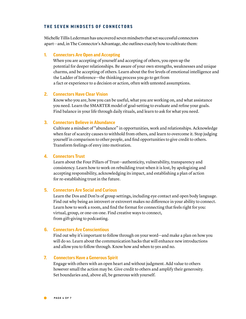#### THE SEVEN MINDSETS OF CONNECTORS

Michelle Tillis Lederman has uncovered seven mindsets that set successful connectors apart—and, in The Connector's Advantage, she outlines exactly how to cultivate them:

#### **1. Connectors Are Open and Accepting**

When you are accepting of yourself and accepting of others, you open up the potential for deeper relationships. Be aware of your own strengths, weaknesses and unique charms, and be accepting of others. Learn about the five levels of emotional intelligence and the Ladder of Inference—the thinking process you go to get from a fact or experience to a decision or action, often with untested assumptions.

#### **2. Connectors Have Clear Vision**

Know who you are, how you can be useful, what you are working on, and what assistance you need. Learn the SMARTER model of goal-setting to evaluate and refine your goals. Find balance in your life through daily rituals, and learn to ask for what you need.

#### **3. Connectors Believe in Abundance**

Cultivate a mindset of "abundance" in opportunities, work and relationships. Acknowledge when fear of scarcity causes to withhold from others, and learn to overcome it. Stop judging yourself in comparison to other people, and find opportunities to give credit to others. Transform feelings of envy into motivation.

#### **4. Connectors Trust**

Learn about the Four Pillars of Trust—authenticity, vulnerability, transparency and consistency. Learn how to work on rebuilding trust when it is lost, by apologizing and accepting responsibility, acknowledging its impact, and establishing a plan of action for re-establishing trust in the future.

#### **5. Connectors Are Social and Curious**

Learn the Dos and Don'ts of group settings, including eye contact and open body language. Find out why being an introvert or extrovert makes no difference in your ability to connect. Learn how to work a room, and find the format for connecting that feels right for you: virtual, group, or one-on-one. Find creative ways to connect, from gift-giving to podcasting.

#### **6. Connectors Are Conscientious**

Find out why it's important to follow through on your word—and make a plan on how you will do so. Learn about the communication hacks that will enhance new introductions and allow you to follow through. Know how and when to yes and no.

#### **7. Connectors Have a Generous Spirit**

Engage with others with an open heart and without judgment. Add value to others however small the action may be. Give credit to others and amplify their generosity. Set boundaries and, above all, be generous with yourself.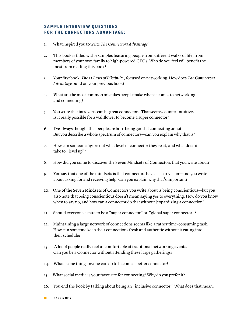#### SAMPLE INTERVIEW OUESTIONS FOR THE CONNECTORS ADVANTAGE:

- 1. What inspired you to write *The Connectors Advantage?*
- 2. This book is filled with examples featuring people from different walks of life, from members of your own family to high-powered CEOs. Who do you feel will benefit the most from reading this book?
- 3. Your first book, *The 11 Laws of Likability,* focused on networking. How does *The Connectors Advantage* build on your previous book?
- 4. What are the most common mistakes people make when it comes to networking and connecting?
- 5. You write that introverts can be great connectors. That seems counter-intuitive. Is it really possible for a wallflower to become a super connector?
- 6. I've always thought that people are born being good at connecting or not. But you describe a whole spectrum of connectors—can you explain why that is?
- 7. How can someone figure out what level of connector they're at, and what does it take to "level up"?
- 8. How did you come to discover the Seven Mindsets of Connectors that you write about?
- 9. You say that one of the mindsets is that connectors have a clear vision—and you write about asking for and receiving help. Can you explain why that's important?
- 10. One of the Seven Mindsets of Connectors you write about is being conscientious—but you also note that being conscientious doesn't mean saying yes to everything. How do you know when to say no, and how can a connector do that without jeopardizing a connection?
- 11. Should everyone aspire to be a "super connector" or "global super connector"?
- 12. Maintaining a large network of connections seems like a rather time-consuming task. How can someone keep their connections fresh and authentic without it eating into their schedule?
- 13. A lot of people really feel uncomfortable at traditional networking events. Can you be a Connector without attending these large gatherings?
- 14. What is one thing anyone can do to become a better connector?
- 15. What social media is your favourite for connecting? Why do you prefer it?
- 16. You end the book by talking about being an "inclusive connector". What does that mean?
- PaGE 5 OF 7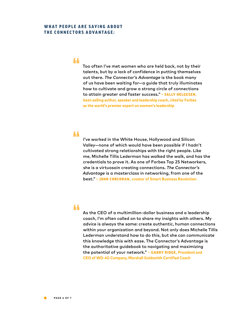#### WHAT PEOPLE ARE SAYING ABOUT THE CONNECTORS ADVANTAGE:

"

Too often I've met women who are held back, not by their talents, but by a lack of confidence in putting themselves out there. *The Connector's Advantage* is the book many of us have been waiting for—a guide that truly illuminates how to cultivate and grow a strong circle of connections to attain greater and faster success." **– Sally Helgesen, best-selling author, speaker and leadership coach, cited by Forbes as the world's premier expert on women's leadership**

#### "

I've worked in the White House, Hollywood and Silicon Valley—none of which would have been possible if I hadn't cultivated strong relationships with the right people. Like me, Michelle Tillis Lederman has walked the walk, and has the credentials to prove it. As one of Forbes Top 25 Networkers, she is a virtuosoin creating connections. *The Connector's Advantage* is a masterclass in networking, from one of the best." **– John Corcoran, creator of Smart Business Revolution**

#### "

As the CEO of a multimillion-dollar business and a leadership coach, I'm often called on to share my insights with others. My advice is always the same: create authentic, human connections within your organization and beyond. Not only does Michelle Tillis Lederman understand how to do this, but she can communicate this knowledge this with ease. The Connector's Advantage is the authoritative guidebook to navigating and maximizing the potential of your network." - GARRY RIDGE, President and **CEO of WD-40 Company, Marshall Goldsmith Certified Coach**